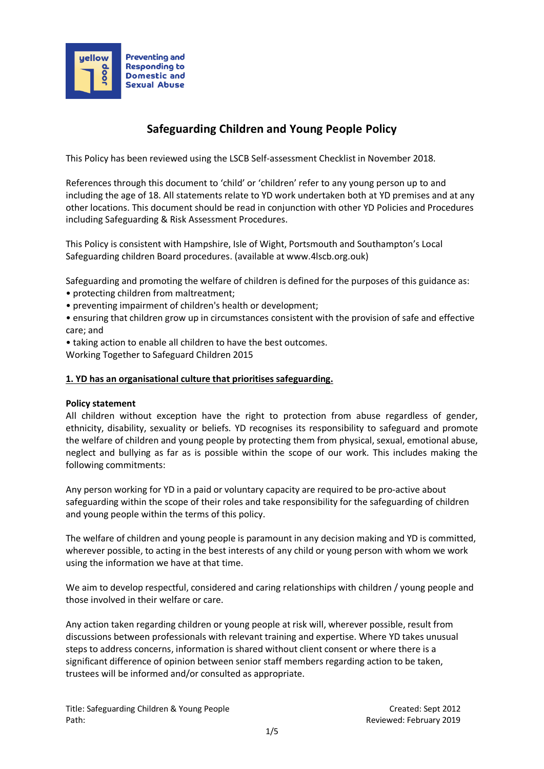

# **Safeguarding Children and Young People Policy**

This Policy has been reviewed using the LSCB Self-assessment Checklist in November 2018.

References through this document to 'child' or 'children' refer to any young person up to and including the age of 18. All statements relate to YD work undertaken both at YD premises and at any other locations. This document should be read in conjunction with other YD Policies and Procedures including Safeguarding & Risk Assessment Procedures.

This Policy is consistent with Hampshire, Isle of Wight, Portsmouth and Southampton's Local Safeguarding children Board procedures. (available at www.4lscb.org.ouk)

Safeguarding and promoting the welfare of children is defined for the purposes of this guidance as:

- protecting children from maltreatment;
- preventing impairment of children's health or development;

• ensuring that children grow up in circumstances consistent with the provision of safe and effective care; and

• taking action to enable all children to have the best outcomes.

[Working Together to Safeguard Children 2015](http://www.safeguardinginschools.co.uk/wp-content/uploads/2015/03/Working-Together-to-Safeguard-Children.pdf)

#### **1. YD has an organisational culture that prioritises safeguarding.**

#### **Policy statement**

All children without exception have the right to protection from abuse regardless of gender, ethnicity, disability, sexuality or beliefs. YD recognises its responsibility to safeguard and promote the welfare of children and young people by protecting them from physical, sexual, emotional abuse, neglect and bullying as far as is possible within the scope of our work. This includes making the following commitments:

Any person working for YD in a paid or voluntary capacity are required to be pro-active about safeguarding within the scope of their roles and take responsibility for the safeguarding of children and young people within the terms of this policy.

The welfare of children and young people is paramount in any decision making and YD is committed, wherever possible, to acting in the best interests of any child or young person with whom we work using the information we have at that time.

We aim to develop respectful, considered and caring relationships with children / young people and those involved in their welfare or care.

Any action taken regarding children or young people at risk will, wherever possible, result from discussions between professionals with relevant training and expertise. Where YD takes unusual steps to address concerns, information is shared without client consent or where there is a significant difference of opinion between senior staff members regarding action to be taken, trustees will be informed and/or consulted as appropriate.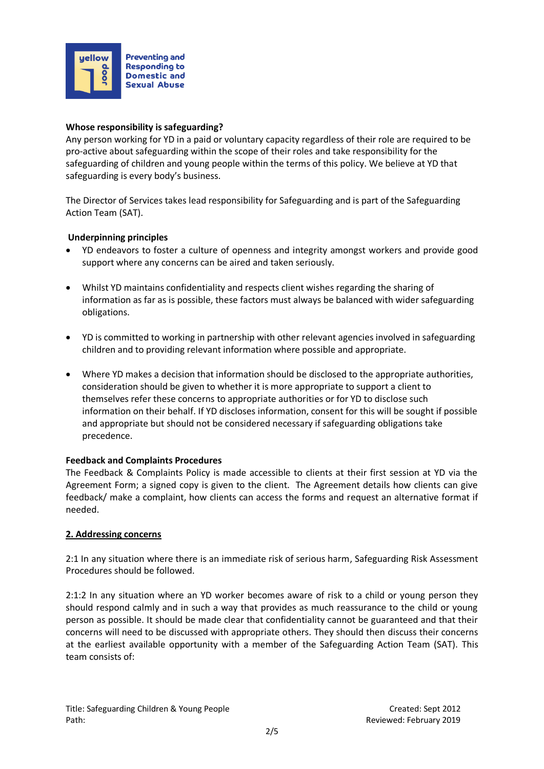

#### **Whose responsibility is safeguarding?**

Any person working for YD in a paid or voluntary capacity regardless of their role are required to be pro-active about safeguarding within the scope of their roles and take responsibility for the safeguarding of children and young people within the terms of this policy. We believe at YD that safeguarding is every body's business.

The Director of Services takes lead responsibility for Safeguarding and is part of the Safeguarding Action Team (SAT).

#### **Underpinning principles**

- YD endeavors to foster a culture of openness and integrity amongst workers and provide good support where any concerns can be aired and taken seriously.
- Whilst YD maintains confidentiality and respects client wishes regarding the sharing of information as far as is possible, these factors must always be balanced with wider safeguarding obligations.
- YD is committed to working in partnership with other relevant agencies involved in safeguarding children and to providing relevant information where possible and appropriate.
- Where YD makes a decision that information should be disclosed to the appropriate authorities, consideration should be given to whether it is more appropriate to support a client to themselves refer these concerns to appropriate authorities or for YD to disclose such information on their behalf. If YD discloses information, consent for this will be sought if possible and appropriate but should not be considered necessary if safeguarding obligations take precedence.

#### **Feedback and Complaints Procedures**

The Feedback & Complaints Policy is made accessible to clients at their first session at YD via the Agreement Form; a signed copy is given to the client. The Agreement details how clients can give feedback/ make a complaint, how clients can access the forms and request an alternative format if needed.

#### **2. Addressing concerns**

2:1 In any situation where there is an immediate risk of serious harm, Safeguarding Risk Assessment Procedures should be followed.

2:1:2 In any situation where an YD worker becomes aware of risk to a child or young person they should respond calmly and in such a way that provides as much reassurance to the child or young person as possible. It should be made clear that confidentiality cannot be guaranteed and that their concerns will need to be discussed with appropriate others. They should then discuss their concerns at the earliest available opportunity with a member of the Safeguarding Action Team (SAT). This team consists of: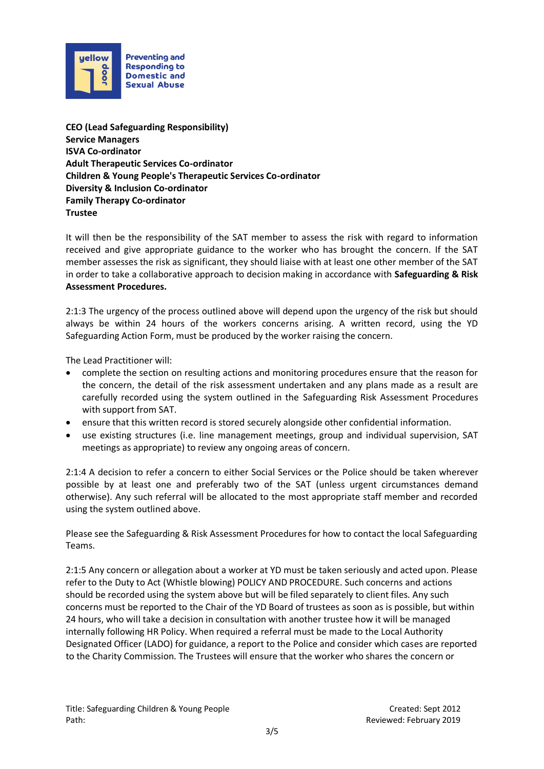

**CEO (Lead Safeguarding Responsibility) Service Managers ISVA Co-ordinator Adult Therapeutic Services Co-ordinator Children & Young People's Therapeutic Services Co-ordinator Diversity & Inclusion Co-ordinator Family Therapy Co-ordinator Trustee**

It will then be the responsibility of the SAT member to assess the risk with regard to information received and give appropriate guidance to the worker who has brought the concern. If the SAT member assesses the risk as significant, they should liaise with at least one other member of the SAT in order to take a collaborative approach to decision making in accordance with **Safeguarding & Risk Assessment Procedures.** 

2:1:3 The urgency of the process outlined above will depend upon the urgency of the risk but should always be within 24 hours of the workers concerns arising. A written record, using the YD Safeguarding Action Form, must be produced by the worker raising the concern.

The Lead Practitioner will:

- complete the section on resulting actions and monitoring procedures ensure that the reason for the concern, the detail of the risk assessment undertaken and any plans made as a result are carefully recorded using the system outlined in the Safeguarding Risk Assessment Procedures with support from SAT.
- ensure that this written record is stored securely alongside other confidential information.
- use existing structures (i.e. line management meetings, group and individual supervision, SAT meetings as appropriate) to review any ongoing areas of concern.

2:1:4 A decision to refer a concern to either Social Services or the Police should be taken wherever possible by at least one and preferably two of the SAT (unless urgent circumstances demand otherwise). Any such referral will be allocated to the most appropriate staff member and recorded using the system outlined above.

Please see the Safeguarding & Risk Assessment Procedures for how to contact the local Safeguarding Teams.

2:1:5 Any concern or allegation about a worker at YD must be taken seriously and acted upon. Please refer to the Duty to Act (Whistle blowing) POLICY AND PROCEDURE. Such concerns and actions should be recorded using the system above but will be filed separately to client files. Any such concerns must be reported to the Chair of the YD Board of trustees as soon as is possible, but within 24 hours, who will take a decision in consultation with another trustee how it will be managed internally following HR Policy. When required a referral must be made to the Local Authority Designated Officer (LADO) for guidance, a report to the Police and consider which cases are reported to the Charity Commission. The Trustees will ensure that the worker who shares the concern or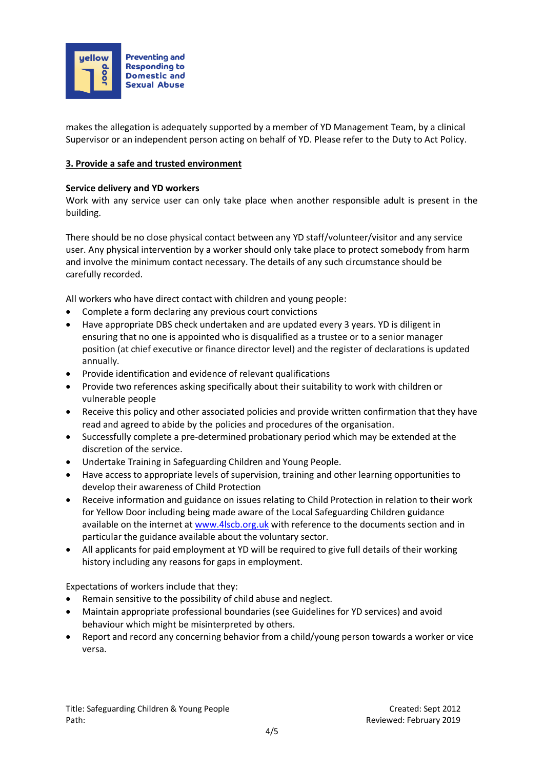

makes the allegation is adequately supported by a member of YD Management Team, by a clinical Supervisor or an independent person acting on behalf of YD. Please refer to the Duty to Act Policy.

## **3. Provide a safe and trusted environment**

#### **Service delivery and YD workers**

Work with any service user can only take place when another responsible adult is present in the building.

There should be no close physical contact between any YD staff/volunteer/visitor and any service user. Any physical intervention by a worker should only take place to protect somebody from harm and involve the minimum contact necessary. The details of any such circumstance should be carefully recorded.

All workers who have direct contact with children and young people:

- Complete a form declaring any previous court convictions
- Have appropriate DBS check undertaken and are updated every 3 years. YD is diligent in ensuring that no one is appointed who is disqualified as a trustee or to a senior manager position (at chief executive or finance director level) and the register of declarations is updated annually.
- Provide identification and evidence of relevant qualifications
- Provide two references asking specifically about their suitability to work with children or vulnerable people
- Receive this policy and other associated policies and provide written confirmation that they have read and agreed to abide by the policies and procedures of the organisation.
- Successfully complete a pre-determined probationary period which may be extended at the discretion of the service.
- Undertake Training in Safeguarding Children and Young People.
- Have access to appropriate levels of supervision, training and other learning opportunities to develop their awareness of Child Protection
- Receive information and guidance on issues relating to Child Protection in relation to their work for Yellow Door including being made aware of the Local Safeguarding Children guidance available on the internet a[t www.4lscb.org.uk](http://www.4lscb.org.uk/) with reference to the documents section and in particular the guidance available about the voluntary sector.
- All applicants for paid employment at YD will be required to give full details of their working history including any reasons for gaps in employment.

Expectations of workers include that they:

- Remain sensitive to the possibility of child abuse and neglect.
- Maintain appropriate professional boundaries (see Guidelines for YD services) and avoid behaviour which might be misinterpreted by others.
- Report and record any concerning behavior from a child/young person towards a worker or vice versa.